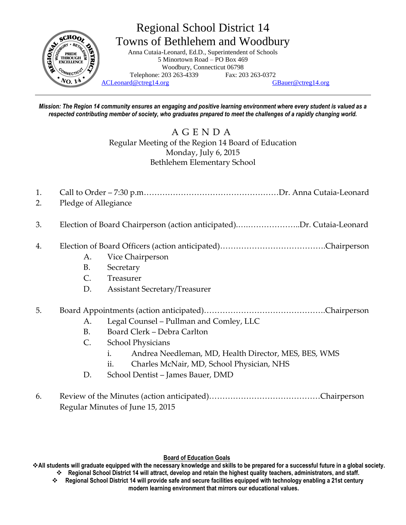

*Mission: The Region 14 community ensures an engaging and positive learning environment where every student is valued as a respected contributing member of society, who graduates prepared to meet the challenges of a rapidly changing world.*

> A G E N D A Regular Meeting of the Region 14 Board of Education Monday, July 6, 2015 Bethlehem Elementary School

- 1. Call to Order 7:30 p.m……………………………………………Dr. Anna Cutaia-Leonard
- 2. Pledge of Allegiance
- 3. Election of Board Chairperson (action anticipated).….………………..Dr. Cutaia-Leonard
- 4. Election of Board Officers (action anticipated)………………………………….Chairperson
	- A. Vice Chairperson
	- B. Secretary
	- C. Treasurer
	- D. Assistant Secretary/Treasurer

## 5. Board Appointments (action anticipated)……………………………………….Chairperson

- A. Legal Counsel Pullman and Comley, LLC
- B. Board Clerk Debra Carlton
- C. School Physicians
	- i. Andrea Needleman, MD, Health Director, MES, BES, WMS
	- ii. Charles McNair, MD, School Physician, NHS
- D. School Dentist James Bauer, DMD
- 6. Review of the Minutes (action anticipated)……………………………………Chairperson Regular Minutes of June 15, 2015

#### **Board of Education Goals**

**All students will graduate equipped with the necessary knowledge and skills to be prepared for a successful future in a global society. Regional School District 14 will attract, develop and retain the highest quality teachers, administrators, and staff.**

 **Regional School District 14 will provide safe and secure facilities equipped with technology enabling a 21st century modern learning environment that mirrors our educational values.**